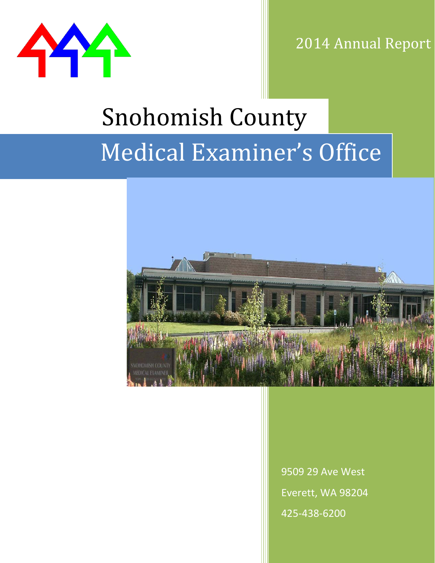

2014 Annual Report

# Medical Examiner's Office Snohomish County



9509 29 Ave West Everett, WA 98204 425-438-6200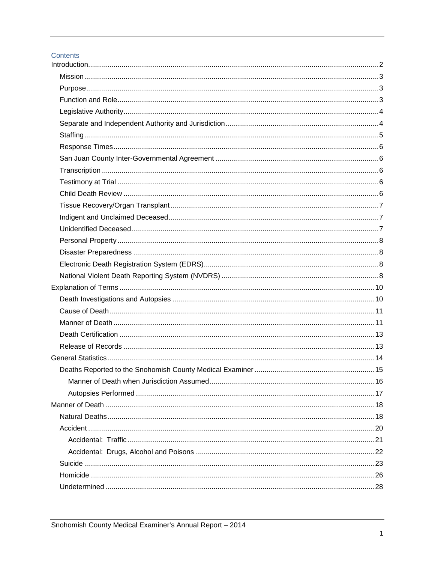#### Contents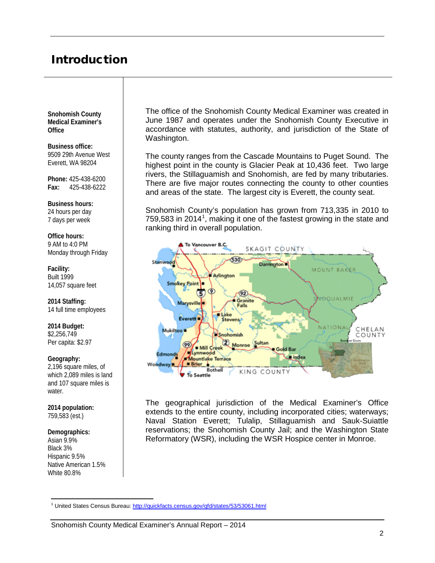# <span id="page-2-0"></span>Introduction

**Snohomish County Medical Examiner's Office**

**Business office:** 9509 29th Avenue West Everett, WA 98204

**Phone:** 425-438-6200 **Fax:** 425-438-6222

**Business hours:** 24 hours per day 7 days per week

**Office hours:** 9 AM to 4:0 PM Monday through Friday

**Facility:** Built 1999 14,057 square feet

**2014 Staffing:**  14 full time employees

**2014 Budget:**  \$2,256,749 Per capita: \$2.97

**Geography:** 2,196 square miles, of which 2,089 miles is land and 107 square miles is water.

**2014 population:**  759,583 (est.)

**Demographics:**

Asian 9.9% Black 3% Hispanic 9.5% Native American 1.5% White 80.8%

The office of the Snohomish County Medical Examiner was created in June 1987 and operates under the Snohomish County Executive in accordance with statutes, authority, and jurisdiction of the State of Washington.

The county ranges from the Cascade Mountains to Puget Sound. The highest point in the county is Glacier Peak at 10,436 feet. Two large rivers, the Stillaguamish and Snohomish, are fed by many tributaries. There are five major routes connecting the county to other counties and areas of the state. The largest city is Everett, the county seat.

Snohomish County's population has grown from 713,335 in 2010 to 759,583 in 20[1](#page-2-1)4<sup>1</sup>, making it one of the fastest growing in the state and ranking third in overall population.



The geographical jurisdiction of the Medical Examiner's Office extends to the entire county, including incorporated cities; waterways; Naval Station Everett; Tulalip, Stillaguamish and Sauk-Suiattle reservations; the Snohomish County Jail; and the Washington State Reformatory (WSR), including the WSR Hospice center in Monroe.

<span id="page-2-1"></span><sup>&</sup>lt;sup>1</sup> United States Census Bureau:<http://quickfacts.census.gov/qfd/states/53/53061.html>  $\overline{a}$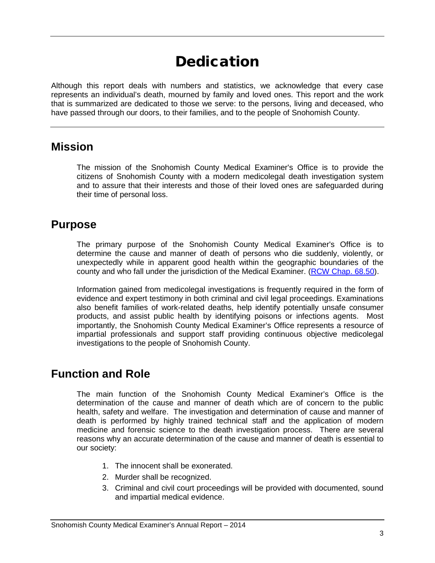# Dedication

Although this report deals with numbers and statistics, we acknowledge that every case represents an individual's death, mourned by family and loved ones. This report and the work that is summarized are dedicated to those we serve: to the persons, living and deceased, who have passed through our doors, to their families, and to the people of Snohomish County.

#### <span id="page-3-0"></span>**Mission**

The mission of the Snohomish County Medical Examiner's Office is to provide the citizens of Snohomish County with a modern medicolegal death investigation system and to assure that their interests and those of their loved ones are safeguarded during their time of personal loss.

#### <span id="page-3-1"></span>**Purpose**

The primary purpose of the Snohomish County Medical Examiner's Office is to determine the cause and manner of death of persons who die suddenly, violently, or unexpectedly while in apparent good health within the geographic boundaries of the county and who fall under the jurisdiction of the Medical Examiner. [\(RCW Chap. 68.50\)](http://apps.leg.wa.gov/rcw/default.aspx?cite=68.50).

Information gained from medicolegal investigations is frequently required in the form of evidence and expert testimony in both criminal and civil legal proceedings. Examinations also benefit families of work-related deaths, help identify potentially unsafe consumer products, and assist public health by identifying poisons or infections agents. Most importantly, the Snohomish County Medical Examiner's Office represents a resource of impartial professionals and support staff providing continuous objective medicolegal investigations to the people of Snohomish County.

#### <span id="page-3-2"></span>**Function and Role**

The main function of the Snohomish County Medical Examiner's Office is the determination of the cause and manner of death which are of concern to the public health, safety and welfare. The investigation and determination of cause and manner of death is performed by highly trained technical staff and the application of modern medicine and forensic science to the death investigation process. There are several reasons why an accurate determination of the cause and manner of death is essential to our society:

- 1. The innocent shall be exonerated.
- 2. Murder shall be recognized.
- 3. Criminal and civil court proceedings will be provided with documented, sound and impartial medical evidence.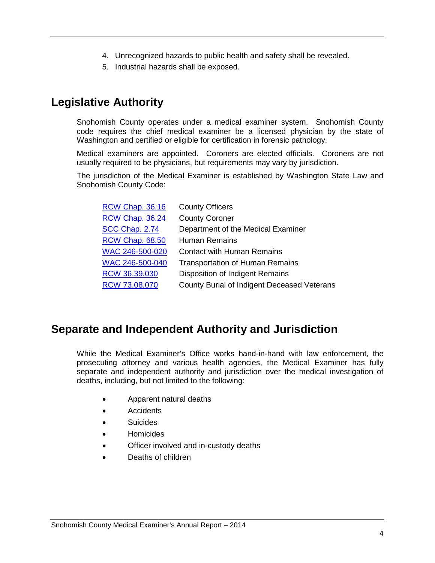- 4. Unrecognized hazards to public health and safety shall be revealed.
- 5. Industrial hazards shall be exposed.

# <span id="page-4-0"></span>**Legislative Authority**

Snohomish County operates under a medical examiner system. Snohomish County code requires the chief medical examiner be a licensed physician by the state of Washington and certified or eligible for certification in forensic pathology.

Medical examiners are appointed. Coroners are elected officials. Coroners are not usually required to be physicians, but requirements may vary by jurisdiction.

The jurisdiction of the Medical Examiner is established by Washington State Law and Snohomish County Code:

| <b>RCW Chap. 36.16</b> | <b>County Officers</b>                      |
|------------------------|---------------------------------------------|
| <b>RCW Chap. 36.24</b> | <b>County Coroner</b>                       |
| SCC Chap. 2.74         | Department of the Medical Examiner          |
| <b>RCW Chap. 68.50</b> | <b>Human Remains</b>                        |
| WAC 246-500-020        | <b>Contact with Human Remains</b>           |
| WAC 246-500-040        | <b>Transportation of Human Remains</b>      |
| RCW 36.39.030          | Disposition of Indigent Remains             |
| RCW 73.08.070          | County Burial of Indigent Deceased Veterans |

## <span id="page-4-1"></span>**Separate and Independent Authority and Jurisdiction**

While the Medical Examiner's Office works hand-in-hand with law enforcement, the prosecuting attorney and various health agencies, the Medical Examiner has fully separate and independent authority and jurisdiction over the medical investigation of deaths, including, but not limited to the following:

- Apparent natural deaths
- Accidents
- Suicides
- Homicides
- Officer involved and in-custody deaths
- Deaths of children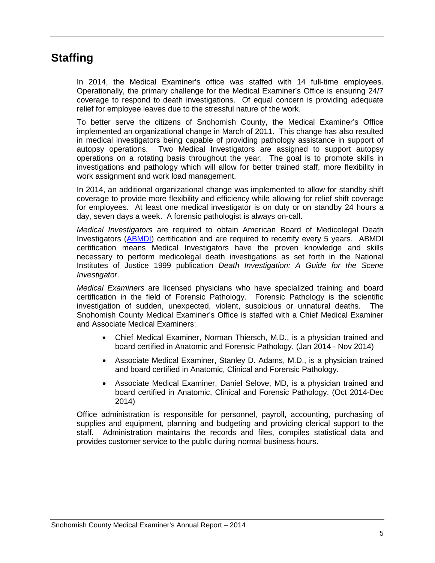## <span id="page-5-0"></span>**Staffing**

In 2014, the Medical Examiner's office was staffed with 14 full-time employees. Operationally, the primary challenge for the Medical Examiner's Office is ensuring 24/7 coverage to respond to death investigations. Of equal concern is providing adequate relief for employee leaves due to the stressful nature of the work.

To better serve the citizens of Snohomish County, the Medical Examiner's Office implemented an organizational change in March of 2011. This change has also resulted in medical investigators being capable of providing pathology assistance in support of autopsy operations. Two Medical Investigators are assigned to support autopsy operations on a rotating basis throughout the year. The goal is to promote skills in investigations and pathology which will allow for better trained staff, more flexibility in work assignment and work load management.

In 2014, an additional organizational change was implemented to allow for standby shift coverage to provide more flexibility and efficiency while allowing for relief shift coverage for employees. At least one medical investigator is on duty or on standby 24 hours a day, seven days a week. A forensic pathologist is always on-call.

*Medical Investigators* are required to obtain American Board of Medicolegal Death Investigators [\(ABMDI\)](http://medschool.slu.edu/abmdi/index.php) certification and are required to recertify every 5 years. ABMDI certification means Medical Investigators have the proven knowledge and skills necessary to perform medicolegal death investigations as set forth in the National Institutes of Justice 1999 publication *Death Investigation: A Guide for the Scene Investigator*.

*Medical Examiners* are licensed physicians who have specialized training and board certification in the field of Forensic Pathology. Forensic Pathology is the scientific investigation of sudden, unexpected, violent, suspicious or unnatural deaths. The Snohomish County Medical Examiner's Office is staffed with a Chief Medical Examiner and Associate Medical Examiners:

- Chief Medical Examiner, Norman Thiersch, M.D., is a physician trained and board certified in Anatomic and Forensic Pathology. (Jan 2014 - Nov 2014)
- Associate Medical Examiner, Stanley D. Adams, M.D., is a physician trained and board certified in Anatomic, Clinical and Forensic Pathology.
- Associate Medical Examiner, Daniel Selove, MD, is a physician trained and board certified in Anatomic, Clinical and Forensic Pathology. (Oct 2014-Dec 2014)

Office administration is responsible for personnel, payroll, accounting, purchasing of supplies and equipment, planning and budgeting and providing clerical support to the staff. Administration maintains the records and files, compiles statistical data and provides customer service to the public during normal business hours.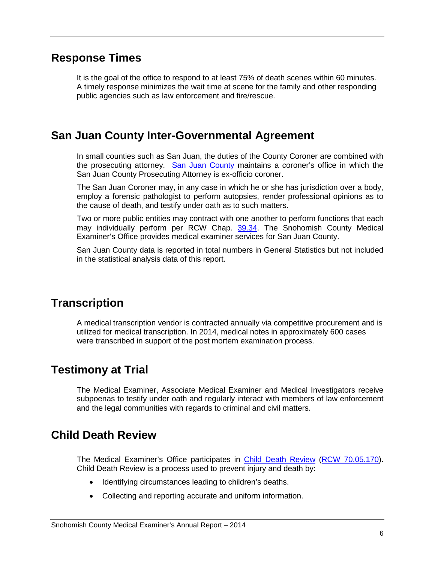#### <span id="page-6-0"></span>**Response Times**

It is the goal of the office to respond to at least 75% of death scenes within 60 minutes. A timely response minimizes the wait time at scene for the family and other responding public agencies such as law enforcement and fire/rescue.

#### <span id="page-6-1"></span>**San Juan County Inter-Governmental Agreement**

In small counties such as San Juan, the duties of the County Coroner are combined with the prosecuting attorney. [San Juan County](http://sanjuanco.com/Prosecutor/coroner.aspx) maintains a coroner's office in which the San Juan County Prosecuting Attorney is ex-officio coroner.

The San Juan Coroner may, in any case in which he or she has jurisdiction over a body, employ a forensic pathologist to perform autopsies, render professional opinions as to the cause of death, and testify under oath as to such matters.

Two or more public entities may contract with one another to perform functions that each may individually perform per RCW Chap. [39.34.](http://apps.leg.wa.gov/rcw/default.aspx?cite=39.34) The Snohomish County Medical Examiner's Office provides medical examiner services for San Juan County.

San Juan County data is reported in total numbers in General Statistics but not included in the statistical analysis data of this report.

## <span id="page-6-2"></span>**Transcription**

A medical transcription vendor is contracted annually via competitive procurement and is utilized for medical transcription. In 2014, medical notes in approximately 600 cases were transcribed in support of the post mortem examination process.

#### <span id="page-6-3"></span>**Testimony at Trial**

The Medical Examiner, Associate Medical Examiner and Medical Investigators receive subpoenas to testify under oath and regularly interact with members of law enforcement and the legal communities with regards to criminal and civil matters.

#### <span id="page-6-4"></span>**Child Death Review**

The Medical Examiner's Office participates in [Child Death Review](http://www.doh.wa.gov/ForPublicHealthandHealthcareProviders/PublicHealthSystemResourcesandServices/LocalHealthResourcesandTools/ChildDeathReview) [\(RCW 70.05.170\)](http://apps.leg.wa.gov/rcw/default.aspx?cite=70.05.170). Child Death Review is a process used to prevent injury and death by:

- Identifying circumstances leading to children's deaths.
- Collecting and reporting accurate and uniform information.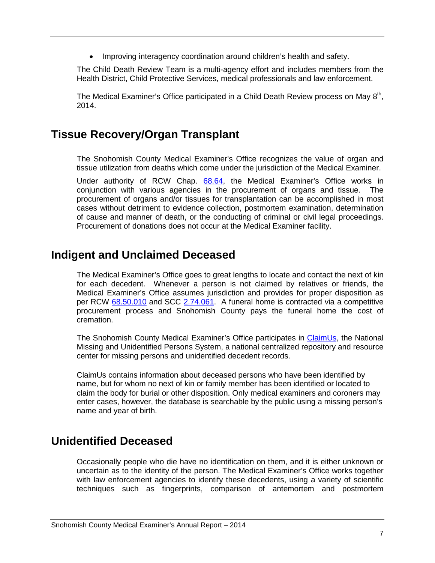• Improving interagency coordination around children's health and safety.

The Child Death Review Team is a multi-agency effort and includes members from the Health District, Child Protective Services, medical professionals and law enforcement.

The Medical Examiner's Office participated in a Child Death Review process on May 8<sup>th</sup>, 2014.

#### <span id="page-7-0"></span>**Tissue Recovery/Organ Transplant**

The Snohomish County Medical Examiner's Office recognizes the value of organ and tissue utilization from deaths which come under the jurisdiction of the Medical Examiner.

Under authority of RCW Chap. [68.64,](http://apps.leg.wa.gov/rcw/default.aspx?cite=68.64) the Medical Examiner's Office works in conjunction with various agencies in the procurement of organs and tissue. The procurement of organs and/or tissues for transplantation can be accomplished in most cases without detriment to evidence collection, postmortem examination, determination of cause and manner of death, or the conducting of criminal or civil legal proceedings. Procurement of donations does not occur at the Medical Examiner facility.

#### <span id="page-7-1"></span>**Indigent and Unclaimed Deceased**

The Medical Examiner's Office goes to great lengths to locate and contact the next of kin for each decedent. Whenever a person is not claimed by relatives or friends, the Medical Examiner's Office assumes jurisdiction and provides for proper disposition as per RCW [68.50.010](http://apps.leg.wa.gov/rcw/default.aspx?cite=68.50.010) and SCC [2.74.061.](http://www.co.snohomish.wa.us/Documents/Departments/Council/county_code/CountyCodeTitle2.pdf) A funeral home is contracted via a competitive procurement process and Snohomish County pays the funeral home the cost of cremation.

The Snohomish County Medical Examiner's Office participates in [ClaimUs,](https://claimus.org/) the National Missing and Unidentified Persons System, a national centralized repository and resource center for missing persons and unidentified decedent records.

ClaimUs contains information about deceased persons who have been identified by name, but for whom no next of kin or family member has been identified or located to claim the body for burial or other disposition. Only medical examiners and coroners may enter cases, however, the database is searchable by the public using a missing person's name and year of birth.

#### <span id="page-7-2"></span>**Unidentified Deceased**

Occasionally people who die have no identification on them, and it is either unknown or uncertain as to the identity of the person. The Medical Examiner's Office works together with law enforcement agencies to identify these decedents, using a variety of scientific techniques such as fingerprints, comparison of antemortem and postmortem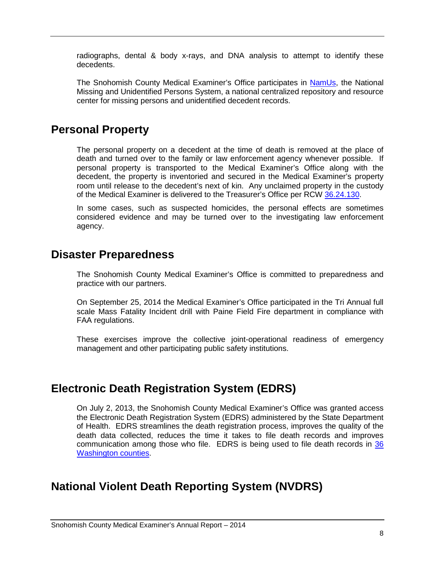radiographs, dental & body x-rays, and DNA analysis to attempt to identify these decedents.

The Snohomish County Medical Examiner's Office participates in [NamUs,](http://www.namus.gov/) the National Missing and Unidentified Persons System, a national centralized repository and resource center for missing persons and unidentified decedent records.

#### <span id="page-8-0"></span>**Personal Property**

The personal property on a decedent at the time of death is removed at the place of death and turned over to the family or law enforcement agency whenever possible. If personal property is transported to the Medical Examiner's Office along with the decedent, the property is inventoried and secured in the Medical Examiner's property room until release to the decedent's next of kin. Any unclaimed property in the custody of the Medical Examiner is delivered to the Treasurer's Office per RCW [36.24.130.](http://apps.leg.wa.gov/rcw/default.aspx?cite=36.24.130)

In some cases, such as suspected homicides, the personal effects are sometimes considered evidence and may be turned over to the investigating law enforcement agency.

#### <span id="page-8-1"></span>**Disaster Preparedness**

The Snohomish County Medical Examiner's Office is committed to preparedness and practice with our partners.

On September 25, 2014 the Medical Examiner's Office participated in the Tri Annual full scale Mass Fatality Incident drill with Paine Field Fire department in compliance with FAA regulations.

These exercises improve the collective joint-operational readiness of emergency management and other participating public safety institutions.

#### <span id="page-8-2"></span>**Electronic Death Registration System (EDRS)**

On July 2, 2013, the Snohomish County Medical Examiner's Office was granted access the Electronic Death Registration System (EDRS) administered by the State Department of Health. EDRS streamlines the death registration process, improves the quality of the death data collected, reduces the time it takes to file death records and improves communication among those who file. EDRS is being used to file death records in [36](https://fortress.wa.gov/doh/edrsinformation/EDRSInformation/ImplementationMap.aspx) [Washington counties.](https://fortress.wa.gov/doh/edrsinformation/EDRSInformation/ImplementationMap.aspx)

#### <span id="page-8-3"></span>**National Violent Death Reporting System (NVDRS)**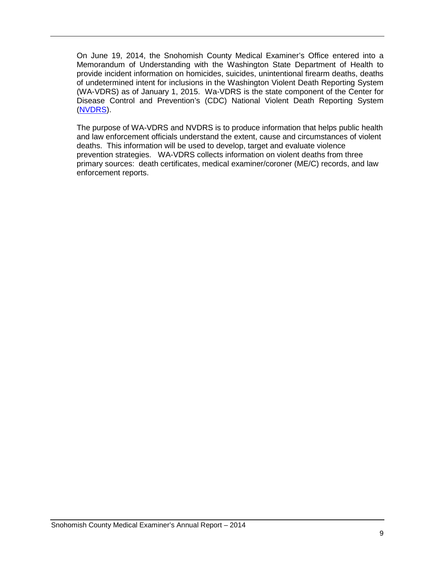On June 19, 2014, the Snohomish County Medical Examiner's Office entered into a Memorandum of Understanding with the Washington State Department of Health to provide incident information on homicides, suicides, unintentional firearm deaths, deaths of undetermined intent for inclusions in the Washington Violent Death Reporting System (WA-VDRS) as of January 1, 2015. Wa-VDRS is the state component of the Center for Disease Control and Prevention's (CDC) National Violent Death Reporting System [\(NVDRS\)](http://www.cdc.gov/violenceprevention/nvdrs/index.html).

The purpose of WA-VDRS and NVDRS is to produce information that helps public health and law enforcement officials understand the extent, cause and circumstances of violent deaths. This information will be used to develop, target and evaluate violence prevention strategies. WA-VDRS collects information on violent deaths from three primary sources: death certificates, medical examiner/coroner (ME/C) records, and law enforcement reports.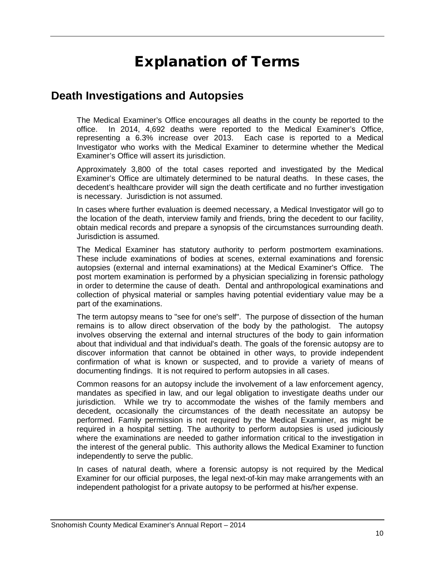# Explanation of Terms

#### <span id="page-10-1"></span><span id="page-10-0"></span>**Death Investigations and Autopsies**

The Medical Examiner's Office encourages all deaths in the county be reported to the office. In 2014, 4,692 deaths were reported to the Medical Examiner's Office, representing a 6.3% increase over 2013. Each case is reported to a Medical Investigator who works with the Medical Examiner to determine whether the Medical Examiner's Office will assert its jurisdiction.

Approximately 3,800 of the total cases reported and investigated by the Medical Examiner's Office are ultimately determined to be natural deaths. In these cases, the decedent's healthcare provider will sign the death certificate and no further investigation is necessary. Jurisdiction is not assumed.

In cases where further evaluation is deemed necessary, a Medical Investigator will go to the location of the death, interview family and friends, bring the decedent to our facility, obtain medical records and prepare a synopsis of the circumstances surrounding death. Jurisdiction is assumed.

The Medical Examiner has statutory authority to perform postmortem examinations. These include examinations of bodies at scenes, external examinations and forensic autopsies (external and internal examinations) at the Medical Examiner's Office. The post mortem examination is performed by a physician specializing in forensic pathology in order to determine the cause of death. Dental and anthropological examinations and collection of physical material or samples having potential evidentiary value may be a part of the examinations.

The term autopsy means to "see for one's self". The purpose of dissection of the human remains is to allow direct observation of the body by the pathologist. The autopsy involves observing the external and internal structures of the body to gain information about that individual and that individual's death. The goals of the forensic autopsy are to discover information that cannot be obtained in other ways, to provide independent confirmation of what is known or suspected, and to provide a variety of means of documenting findings. It is not required to perform autopsies in all cases.

Common reasons for an autopsy include the involvement of a law enforcement agency, mandates as specified in law, and our legal obligation to investigate deaths under our jurisdiction. While we try to accommodate the wishes of the family members and decedent, occasionally the circumstances of the death necessitate an autopsy be performed. Family permission is not required by the Medical Examiner, as might be required in a hospital setting. The authority to perform autopsies is used judiciously where the examinations are needed to gather information critical to the investigation in the interest of the general public. This authority allows the Medical Examiner to function independently to serve the public.

In cases of natural death, where a forensic autopsy is not required by the Medical Examiner for our official purposes, the legal next-of-kin may make arrangements with an independent pathologist for a private autopsy to be performed at his/her expense.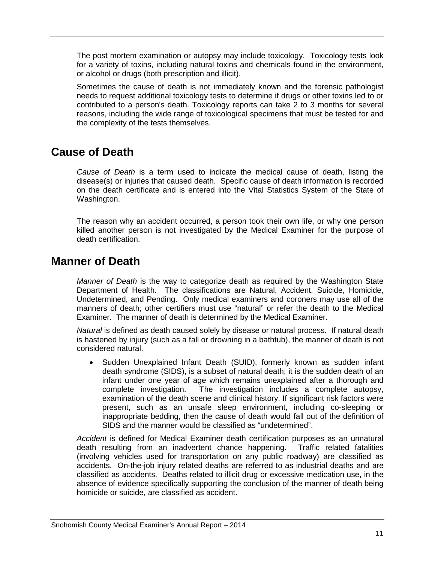The post mortem examination or autopsy may include toxicology. Toxicology tests look for a variety of toxins, including natural toxins and chemicals found in the environment, or alcohol or drugs (both prescription and illicit).

Sometimes the cause of death is not immediately known and the forensic pathologist needs to request additional toxicology tests to determine if drugs or other toxins led to or contributed to a person's death. Toxicology reports can take 2 to 3 months for several reasons, including the wide range of toxicological specimens that must be tested for and the complexity of the tests themselves.

#### <span id="page-11-0"></span>**Cause of Death**

*Cause of Death* is a term used to indicate the medical cause of death, listing the disease(s) or injuries that caused death. Specific cause of death information is recorded on the death certificate and is entered into the Vital Statistics System of the State of Washington.

The reason why an accident occurred, a person took their own life, or why one person killed another person is not investigated by the Medical Examiner for the purpose of death certification.

#### <span id="page-11-1"></span>**Manner of Death**

*Manner of Death* is the way to categorize death as required by the Washington State Department of Health. The classifications are Natural, Accident, Suicide, Homicide, Undetermined, and Pending. Only medical examiners and coroners may use all of the manners of death; other certifiers must use "natural" or refer the death to the Medical Examiner. The manner of death is determined by the Medical Examiner.

*Natural* is defined as death caused solely by disease or natural process. If natural death is hastened by injury (such as a fall or drowning in a bathtub), the manner of death is not considered natural.

• Sudden Unexplained Infant Death (SUID), formerly known as sudden infant death syndrome (SIDS), is a subset of natural death; it is the sudden death of an infant under one year of age which remains unexplained after a thorough and complete investigation. The investigation includes a complete autopsy, examination of the death scene and clinical history. If significant risk factors were present, such as an unsafe sleep environment, including co-sleeping or inappropriate bedding, then the cause of death would fall out of the definition of SIDS and the manner would be classified as "undetermined".

*Accident* is defined for Medical Examiner death certification purposes as an unnatural death resulting from an inadvertent chance happening. Traffic related fatalities (involving vehicles used for transportation on any public roadway) are classified as accidents. On-the-job injury related deaths are referred to as industrial deaths and are classified as accidents. Deaths related to illicit drug or excessive medication use, in the absence of evidence specifically supporting the conclusion of the manner of death being homicide or suicide, are classified as accident.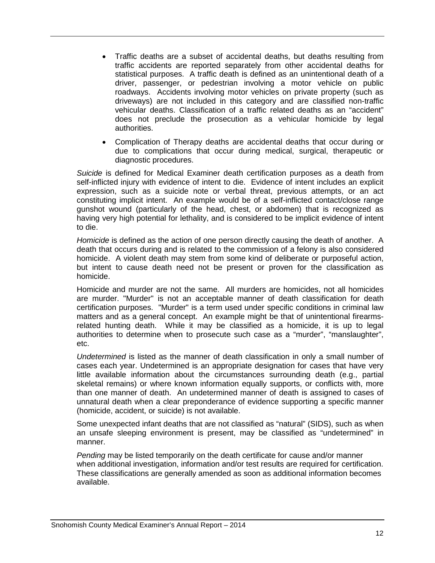- Traffic deaths are a subset of accidental deaths, but deaths resulting from traffic accidents are reported separately from other accidental deaths for statistical purposes. A traffic death is defined as an unintentional death of a driver, passenger, or pedestrian involving a motor vehicle on public roadways. Accidents involving motor vehicles on private property (such as driveways) are not included in this category and are classified non-traffic vehicular deaths. Classification of a traffic related deaths as an "accident" does not preclude the prosecution as a vehicular homicide by legal authorities.
- Complication of Therapy deaths are accidental deaths that occur during or due to complications that occur during medical, surgical, therapeutic or diagnostic procedures.

*Suicide* is defined for Medical Examiner death certification purposes as a death from self-inflicted injury with evidence of intent to die. Evidence of intent includes an explicit expression, such as a suicide note or verbal threat, previous attempts, or an act constituting implicit intent. An example would be of a self-inflicted contact/close range gunshot wound (particularly of the head, chest, or abdomen) that is recognized as having very high potential for lethality, and is considered to be implicit evidence of intent to die.

*Homicide* is defined as the action of one person directly causing the death of another. A death that occurs during and is related to the commission of a felony is also considered homicide. A violent death may stem from some kind of deliberate or purposeful action, but intent to cause death need not be present or proven for the classification as homicide.

Homicide and murder are not the same. All murders are homicides, not all homicides are murder. "Murder" is not an acceptable manner of death classification for death certification purposes. "Murder" is a term used under specific conditions in criminal law matters and as a general concept. An example might be that of unintentional firearmsrelated hunting death. While it may be classified as a homicide, it is up to legal authorities to determine when to prosecute such case as a "murder", "manslaughter", etc.

*Undetermined* is listed as the manner of death classification in only a small number of cases each year. Undetermined is an appropriate designation for cases that have very little available information about the circumstances surrounding death (e.g., partial skeletal remains) or where known information equally supports, or conflicts with, more than one manner of death. An undetermined manner of death is assigned to cases of unnatural death when a clear preponderance of evidence supporting a specific manner (homicide, accident, or suicide) is not available.

Some unexpected infant deaths that are not classified as "natural" (SIDS), such as when an unsafe sleeping environment is present, may be classified as "undetermined" in manner.

*Pending* may be listed temporarily on the death certificate for cause and/or manner when additional investigation, information and/or test results are required for certification. These classifications are generally amended as soon as additional information becomes available.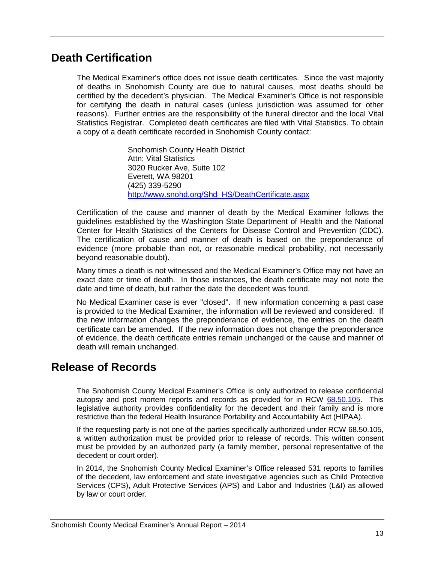#### <span id="page-13-0"></span>**Death Certification**

The Medical Examiner's office does not issue death certificates. Since the vast majority of deaths in Snohomish County are due to natural causes, most deaths should be certified by the decedent's physician. The Medical Examiner's Office is not responsible for certifying the death in natural cases (unless jurisdiction was assumed for other reasons). Further entries are the responsibility of the funeral director and the local Vital Statistics Registrar. Completed death certificates are filed with Vital Statistics. To obtain a copy of a death certificate recorded in Snohomish County contact:

> Snohomish County Health District Attn: Vital Statistics 3020 Rucker Ave, Suite 102 Everett, WA 98201 (425) 339-5290 [http://www.snohd.org/Shd\\_HS/DeathCertificate.aspx](http://www.snohd.org/Shd_HS/DeathCertificate.aspx)

Certification of the cause and manner of death by the Medical Examiner follows the guidelines established by the Washington State Department of Health and the National Center for Health Statistics of the Centers for Disease Control and Prevention (CDC). The certification of cause and manner of death is based on the preponderance of evidence (more probable than not, or reasonable medical probability, not necessarily beyond reasonable doubt).

Many times a death is not witnessed and the Medical Examiner's Office may not have an exact date or time of death. In those instances, the death certificate may not note the date and time of death, but rather the date the decedent was found.

No Medical Examiner case is ever "closed". If new information concerning a past case is provided to the Medical Examiner, the information will be reviewed and considered. If the new information changes the preponderance of evidence, the entries on the death certificate can be amended. If the new information does not change the preponderance of evidence, the death certificate entries remain unchanged or the cause and manner of death will remain unchanged.

#### <span id="page-13-1"></span>**Release of Records**

The Snohomish County Medical Examiner's Office is only authorized to release confidential autopsy and post mortem reports and records as provided for in RCW [68.50.105.](http://apps.leg.wa.gov/rcw/default.aspx?cite=68.50.105) This legislative authority provides confidentiality for the decedent and their family and is more restrictive than the federal Health Insurance Portability and Accountability Act (HIPAA).

If the requesting party is not one of the parties specifically authorized under RCW 68.50.105, a written authorization must be provided prior to release of records. This written consent must be provided by an authorized party (a family member, personal representative of the decedent or court order).

In 2014, the Snohomish County Medical Examiner's Office released 531 reports to families of the decedent, law enforcement and state investigative agencies such as Child Protective Services (CPS), Adult Protective Services (APS) and Labor and Industries (L&I) as allowed by law or court order.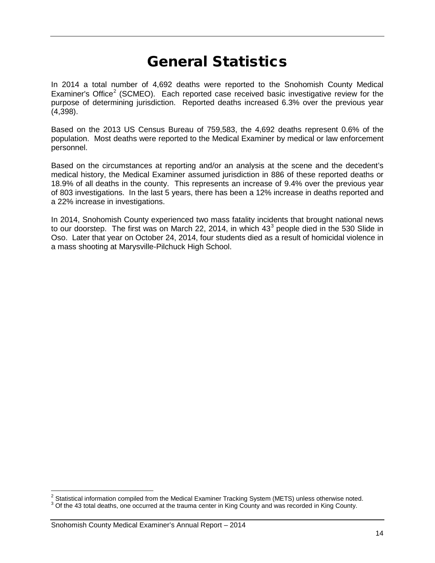# General Statistics

<span id="page-14-0"></span>In 2014 a total number of 4,692 deaths were reported to the Snohomish County Medical Examiner's Office<sup>[2](#page-14-1)</sup> (SCMEO). Each reported case received basic investigative review for the purpose of determining jurisdiction. Reported deaths increased 6.3% over the previous year (4,398).

Based on the 2013 US Census Bureau of 759,583, the 4,692 deaths represent 0.6% of the population. Most deaths were reported to the Medical Examiner by medical or law enforcement personnel.

Based on the circumstances at reporting and/or an analysis at the scene and the decedent's medical history, the Medical Examiner assumed jurisdiction in 886 of these reported deaths or 18.9% of all deaths in the county. This represents an increase of 9.4% over the previous year of 803 investigations. In the last 5 years, there has been a 12% increase in deaths reported and a 22% increase in investigations.

In 2014, Snohomish County experienced two mass fatality incidents that brought national news to our doorstep. The first was on March 22, 2014, in which  $43<sup>3</sup>$  $43<sup>3</sup>$  $43<sup>3</sup>$  people died in the 530 Slide in Oso. Later that year on October 24, 2014, four students died as a result of homicidal violence in a mass shooting at Marysville-Pilchuck High School.

<span id="page-14-1"></span><sup>&</sup>lt;sup>2</sup> Statistical information compiled from the Medical Examiner Tracking System (METS) unless otherwise noted.

<span id="page-14-2"></span> $3$  Of the 43 total deaths, one occurred at the trauma center in King County and was recorded in King County.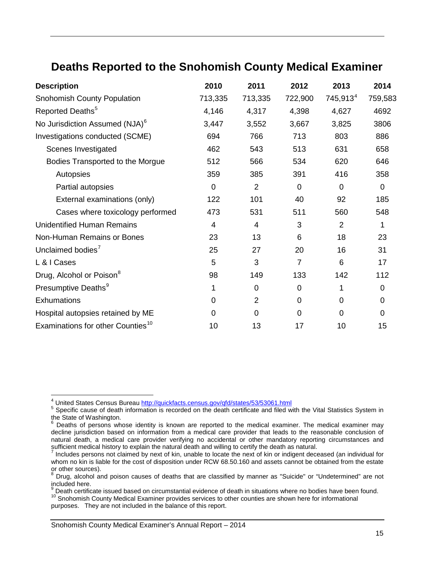# <span id="page-15-0"></span>**Deaths Reported to the Snohomish County Medical Examiner**

| <b>Description</b>                            | 2010        | 2011           | 2012           | 2013           | 2014           |
|-----------------------------------------------|-------------|----------------|----------------|----------------|----------------|
| Snohomish County Population                   | 713,335     | 713,335        | 722,900        | $745,913^4$    | 759,583        |
| Reported Deaths <sup>5</sup>                  | 4,146       | 4,317          | 4,398          | 4,627          | 4692           |
| No Jurisdiction Assumed (NJA) <sup>6</sup>    | 3,447       | 3,552          | 3,667          | 3,825          | 3806           |
| Investigations conducted (SCME)               | 694         | 766            | 713            | 803            | 886            |
| Scenes Investigated                           | 462         | 543            | 513            | 631            | 658            |
| Bodies Transported to the Morgue              | 512         | 566            | 534            | 620            | 646            |
| Autopsies                                     | 359         | 385            | 391            | 416            | 358            |
| Partial autopsies                             | $\mathbf 0$ | $\overline{2}$ | $\overline{0}$ | $\overline{0}$ | $\overline{0}$ |
| External examinations (only)                  | 122         | 101            | 40             | 92             | 185            |
| Cases where toxicology performed              | 473         | 531            | 511            | 560            | 548            |
| <b>Unidentified Human Remains</b>             | 4           | 4              | 3              | $\overline{2}$ | 1              |
| Non-Human Remains or Bones                    | 23          | 13             | 6              | 18             | 23             |
| Unclaimed bodies <sup>7</sup>                 | 25          | 27             | 20             | 16             | 31             |
| L & I Cases                                   | 5           | 3              | $\overline{7}$ | 6              | 17             |
| Drug, Alcohol or Poison <sup>8</sup>          | 98          | 149            | 133            | 142            | 112            |
| Presumptive Deaths <sup>9</sup>               | 1           | $\overline{0}$ | $\overline{0}$ | 1              | $\Omega$       |
| Exhumations                                   | 0           | $\overline{2}$ | $\mathbf 0$    | 0              | 0              |
| Hospital autopsies retained by ME             | 0           | 0              | $\mathbf 0$    | $\Omega$       | 0              |
| Examinations for other Counties <sup>10</sup> | 10          | 13             | 17             | 10             | 15             |

<sup>&</sup>lt;sup>4</sup> United States Census Bureau http://quickfacts.census.gov/qfd/states/53/53061.html

<span id="page-15-2"></span><span id="page-15-1"></span><sup>&</sup>lt;sup>5</sup> Specific cause of death information is recorded on the death certificate and filed with the Vital Statistics System in the State of Washington.<br><sup>6</sup> Doaths of persons whose identity is known are reported to the modical

<span id="page-15-3"></span>Deaths of persons whose identity is known are reported to the medical examiner. The medical examiner may decline jurisdiction based on information from a medical care provider that leads to the reasonable conclusion of natural death, a medical care provider verifying no accidental or other mandatory reporting circumstances and sufficient medical history to explain the natural death and willing to certify the death as natural.

<span id="page-15-4"></span>Includes persons not claimed by next of kin, unable to locate the next of kin or indigent deceased (an individual for whom no kin is liable for the cost of disposition under RCW 68.50.160 and assets cannot be obtained from the estate or other sources).

<span id="page-15-5"></span> $8$  Drug, alcohol and poison causes of deaths that are classified by manner as "Suicide" or "Undetermined" are not included here.<br>
<sup>9</sup> Death certificate issued based on circumstantial evidence of death in situations where no bodies have been found.

<span id="page-15-7"></span><span id="page-15-6"></span><sup>9</sup> Death certificate issued based on circumstantial evidence of death in situations where no bodies have been found. <sup>10</sup> Snohomish County Medical Examiner provides services to other counties are shown here for informational

purposes. They are not included in the balance of this report.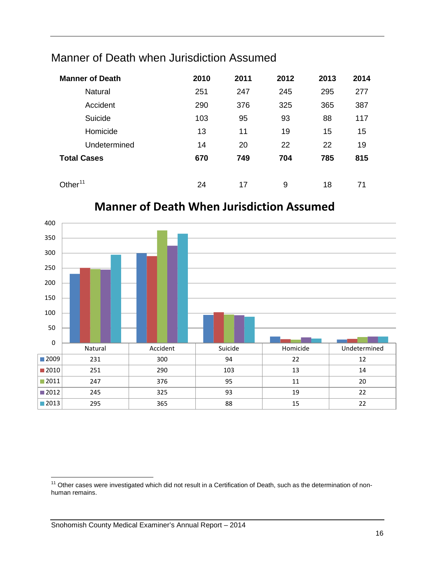# <span id="page-16-0"></span>Manner of Death when Jurisdiction Assumed

| <b>Manner of Death</b> | 2010 | 2011 | 2012 | 2013 | 2014 |
|------------------------|------|------|------|------|------|
| <b>Natural</b>         | 251  | 247  | 245  | 295  | 277  |
| Accident               | 290  | 376  | 325  | 365  | 387  |
| Suicide                | 103  | 95   | 93   | 88   | 117  |
| Homicide               | 13   | 11   | 19   | 15   | 15   |
| Undetermined           | 14   | 20   | 22   | 22   | 19   |
| <b>Total Cases</b>     | 670  | 749  | 704  | 785  | 815  |
| Other $^{11}$          | 24   | 17   | 9    | 18   | 71   |



# **Manner of Death When Jurisdiction Assumed**

<span id="page-16-1"></span><sup>&</sup>lt;sup>11</sup> Other cases were investigated which did not result in a Certification of Death, such as the determination of nonhuman remains.  $\overline{1}$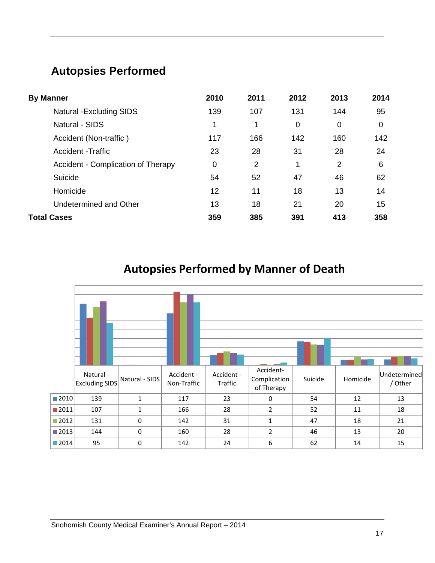# <span id="page-17-0"></span>**Autopsies Performed**

| <b>By Manner</b>                   | 2010        | 2011           | 2012        | 2013        | 2014 |
|------------------------------------|-------------|----------------|-------------|-------------|------|
| <b>Natural -Excluding SIDS</b>     | 139         | 107            | 131         | 144         | 95   |
| <b>Natural - SIDS</b>              | 1           | 1              | $\mathbf 0$ | $\mathbf 0$ | 0    |
| Accident (Non-traffic)             | 117         | 166            | 142         | 160         | 142  |
| <b>Accident -Traffic</b>           | 23          | 28             | 31          | 28          | 24   |
| Accident - Complication of Therapy | $\mathbf 0$ | $\overline{2}$ | 1           | 2           | 6    |
| Suicide                            | 54          | 52             | 47          | 46          | 62   |
| Homicide                           | 12          | 11             | 18          | 13          | 14   |
| Undetermined and Other             | 13          | 18             | 21          | 20          | 15   |
| <b>Total Cases</b>                 | 359         | 385            | 391         | 413         | 358  |

**Autopsies Performed by Manner of Death**

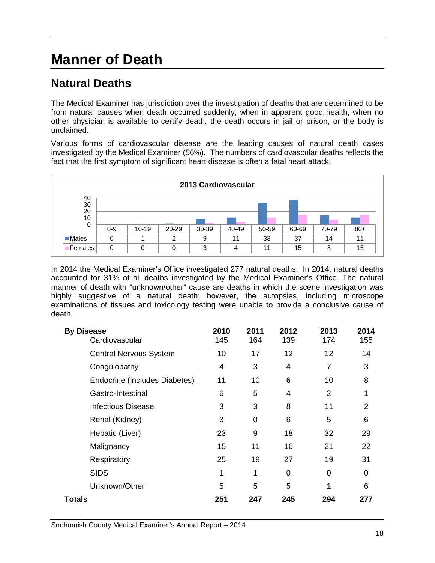# <span id="page-18-0"></span>**Manner of Death**

# <span id="page-18-1"></span>**Natural Deaths**

The Medical Examiner has jurisdiction over the investigation of deaths that are determined to be from natural causes when death occurred suddenly, when in apparent good health, when no other physician is available to certify death, the death occurs in jail or prison, or the body is unclaimed.

Various forms of cardiovascular disease are the leading causes of natural death cases investigated by the Medical Examiner (56%). The numbers of cardiovascular deaths reflects the fact that the first symptom of significant heart disease is often a fatal heart attack.



In 2014 the Medical Examiner's Office investigated 277 natural deaths. In 2014, natural deaths accounted for 31% of all deaths investigated by the Medical Examiner's Office. The natural manner of death with "unknown/other" cause are deaths in which the scene investigation was highly suggestive of a natural death; however, the autopsies, including microscope examinations of tissues and toxicology testing were unable to provide a conclusive cause of death.

| <b>By Disease</b><br>Cardiovascular | 2010<br>145    | 2011<br>164 | 2012<br>139    | 2013<br>174    | 2014<br>155 |
|-------------------------------------|----------------|-------------|----------------|----------------|-------------|
| <b>Central Nervous System</b>       | 10             | 17          | 12             | 12             | 14          |
| Coagulopathy                        | $\overline{4}$ | 3           | $\overline{4}$ | 7              | 3           |
| Endocrine (includes Diabetes)       | 11             | 10          | 6              | 10             | 8           |
| Gastro-Intestinal                   | 6              | 5           | $\overline{4}$ | $\overline{2}$ | 1           |
| <b>Infectious Disease</b>           | 3              | 3           | 8              | 11             | 2           |
| Renal (Kidney)                      | 3              | 0           | 6              | 5              | 6           |
| Hepatic (Liver)                     | 23             | 9           | 18             | 32             | 29          |
| Malignancy                          | 15             | 11          | 16             | 21             | 22          |
| Respiratory                         | 25             | 19          | 27             | 19             | 31          |
| <b>SIDS</b>                         | 1              | 1           | 0              | 0              | 0           |
| Unknown/Other                       | 5              | 5           | 5              | 1              | 6           |
| Totals                              | 251            | 247         | 245            | 294            | 277         |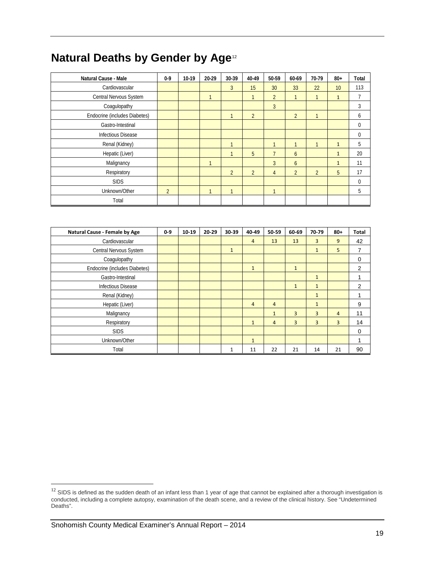# **Natural Deaths by Gender by Age**[12](#page-19-0)

| <b>Natural Cause - Male</b>   | $0-9$          | $10-19$ | $20-29$ | 30-39          | 40-49          | 50-59          | 60-69          | 70-79          | $80 +$       | Total        |
|-------------------------------|----------------|---------|---------|----------------|----------------|----------------|----------------|----------------|--------------|--------------|
| Cardiovascular                |                |         |         | 3              | 15             | 30             | 33             | 22             | 10           | 113          |
| Central Nervous System        |                |         |         |                |                | $\overline{2}$ | 1              |                | $\mathbf{1}$ |              |
| Coagulopathy                  |                |         |         |                |                | $\overline{3}$ |                |                |              | 3            |
| Endocrine (includes Diabetes) |                |         |         |                | $\overline{2}$ |                | $\overline{2}$ | ٠              |              | <sub>6</sub> |
| Gastro-Intestinal             |                |         |         |                |                |                |                |                |              | $\mathbf{0}$ |
| <b>Infectious Disease</b>     |                |         |         |                |                |                |                |                |              | 0            |
| Renal (Kidney)                |                |         |         | $\overline{ }$ |                | $\mathbf{1}$   | 1              | ٠              | $\mathbf{1}$ | 5            |
| Hepatic (Liver)               |                |         |         |                | 5              |                | 6              |                | $\mathbf{1}$ | 20           |
| Malignancy                    |                |         |         |                |                | 3              | 6              |                | $\mathbf{1}$ | 11           |
| Respiratory                   |                |         |         | $\overline{2}$ | $\overline{2}$ | $\overline{4}$ | $\overline{2}$ | $\overline{2}$ | 5            | 17           |
| <b>SIDS</b>                   |                |         |         |                |                |                |                |                |              | $\mathbf 0$  |
| Unknown/Other                 | $\overline{2}$ |         |         | $\overline{1}$ |                | $\mathbf{1}$   |                |                |              | 5            |
| Total                         |                |         |         |                |                |                |                |                |              |              |

| Natural Cause - Female by Age | $0-9$ | 10-19 | 20-29 | 30-39        | 40-49          | 50-59          | 60-69          | 70-79          | $80 +$ | <b>Total</b>   |
|-------------------------------|-------|-------|-------|--------------|----------------|----------------|----------------|----------------|--------|----------------|
| Cardiovascular                |       |       |       |              | $\overline{4}$ | 13             | 13             | 3              | 9      | 42             |
| Central Nervous System        |       |       |       | $\mathbf{1}$ |                |                |                | $\mathbf{1}$   | 5      | 7              |
| Coagulopathy                  |       |       |       |              |                |                |                |                |        | 0              |
| Endocrine (includes Diabetes) |       |       |       |              | $\mathbf{1}$   |                | $\mathbf{1}$   |                |        | $\overline{2}$ |
| Gastro-Intestinal             |       |       |       |              |                |                |                | $\mathbf{1}$   |        |                |
| Infectious Disease            |       |       |       |              |                |                | $\mathbf{1}$   | $\mathbf{1}$   |        | 2              |
| Renal (Kidney)                |       |       |       |              |                |                |                | $\mathbf{1}$   |        |                |
| Hepatic (Liver)               |       |       |       |              | $\overline{4}$ | $\overline{4}$ |                | $\mathbf{1}$   |        | 9              |
| Malignancy                    |       |       |       |              |                | $\mathbf{1}$   | $\overline{3}$ | $\overline{3}$ | 4      | 11             |
| Respiratory                   |       |       |       |              | $\mathbf{1}$   | $\overline{4}$ | $\overline{3}$ | $\overline{3}$ | 3      | 14             |
| <b>SIDS</b>                   |       |       |       |              |                |                |                |                |        | 0              |
| Unknown/Other                 |       |       |       |              | $\mathbf{1}$   |                |                |                |        |                |
| Total                         |       |       |       | 1            | 11             | 22             | 21             | 14             | 21     | 90             |

<span id="page-19-0"></span> $^{12}$  SIDS is defined as the sudden death of an infant less than 1 year of age that cannot be explained after a thorough investigation is conducted, including a complete autopsy, examination of the death scene, and a review of the clinical history. See "Undetermined Deaths".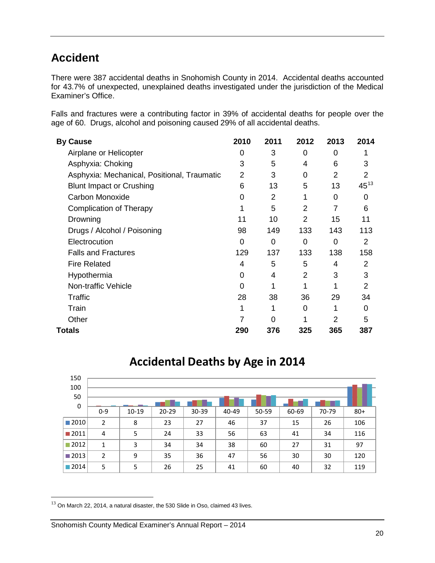# <span id="page-20-0"></span>**Accident**

There were 387 accidental deaths in Snohomish County in 2014. Accidental deaths accounted for 43.7% of unexpected, unexplained deaths investigated under the jurisdiction of the Medical Examiner's Office.

Falls and fractures were a contributing factor in 39% of accidental deaths for people over the age of 60. Drugs, alcohol and poisoning caused 29% of all accidental deaths.

| <b>By Cause</b>                             | 2010 | 2011 | 2012           | 2013 | 2014      |
|---------------------------------------------|------|------|----------------|------|-----------|
| Airplane or Helicopter                      | 0    | 3    | 0              | 0    |           |
| Asphyxia: Choking                           | 3    | 5    | 4              | 6    | 3         |
| Asphyxia: Mechanical, Positional, Traumatic | 2    | 3    | 0              | 2    | 2         |
| <b>Blunt Impact or Crushing</b>             | 6    | 13   | 5              | 13   | $45^{13}$ |
| <b>Carbon Monoxide</b>                      | 0    | 2    | 1              | 0    | 0         |
| <b>Complication of Therapy</b>              |      | 5    | 2              | 7    | 6         |
| Drowning                                    | 11   | 10   | 2              | 15   | 11        |
| Drugs / Alcohol / Poisoning                 | 98   | 149  | 133            | 143  | 113       |
| Electrocution                               | 0    | 0    | 0              | 0    | 2         |
| <b>Falls and Fractures</b>                  | 129  | 137  | 133            | 138  | 158       |
| <b>Fire Related</b>                         | 4    | 5    | 5              | 4    | 2         |
| Hypothermia                                 | 0    | 4    | $\overline{2}$ | 3    | 3         |
| Non-traffic Vehicle                         | 0    |      |                |      | 2         |
| Traffic                                     | 28   | 38   | 36             | 29   | 34        |
| Train                                       |      |      | 0              |      | $\Omega$  |
| Other                                       |      | 0    |                | 2    | 5         |
| Totals                                      | 290  | 376  | 325            | 365  | 387       |

| 150<br>100          |                |         |           |           |       |       |       |       |       |
|---------------------|----------------|---------|-----------|-----------|-------|-------|-------|-------|-------|
| 50                  |                |         |           |           |       |       |       |       |       |
| $\mathbf 0$         | $0 - 9$        | $10-19$ | $20 - 29$ | $30 - 39$ | 40-49 | 50-59 | 60-69 | 70-79 | $80+$ |
| $\blacksquare$ 2010 | $\overline{2}$ | 8       | 23        | 27        | 46    | 37    | 15    | 26    | 106   |
| ■2011               | 4              | 5       | 24        | 33        | 56    | 63    | 41    | 34    | 116   |
| $\blacksquare$ 2012 | $\mathbf{1}$   | 3       | 34        | 34        | 38    | 60    | 27    | 31    | 97    |
| $\blacksquare$ 2013 | $\overline{2}$ | 9       | 35        | 36        | 47    | 56    | 30    | 30    | 120   |
| $\blacksquare$ 2014 | 5              | 5       | 26        | 25        | 41    | 60    | 40    | 32    | 119   |

# **Accidental Deaths by Age in 2014**

<span id="page-20-1"></span> $^{13}$  On March 22, 2014, a natural disaster, the 530 Slide in Oso, claimed 43 lives.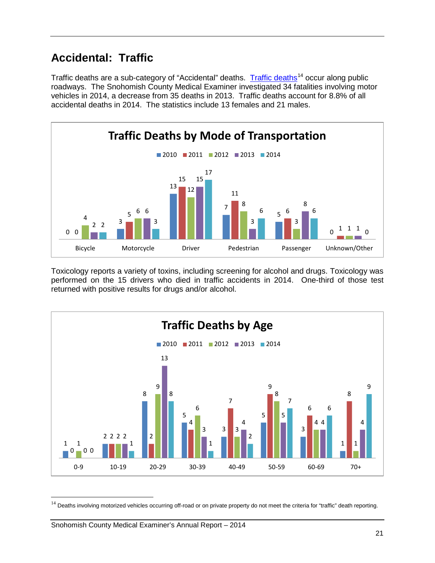# <span id="page-21-0"></span>**Accidental: Traffic**

[Traffic deaths](http://www.wtsc.wa.gov/statistics-reports/) are a sub-category of "Accidental" deaths. Traffic deaths<sup>[14](#page-21-1)</sup> occur along public roadways. The Snohomish County Medical Examiner investigated 34 fatalities involving motor vehicles in 2014, a decrease from 35 deaths in 2013. Traffic deaths account for 8.8% of all accidental deaths in 2014. The statistics include 13 females and 21 males.



Toxicology reports a variety of toxins, including screening for alcohol and drugs. Toxicology was performed on the 15 drivers who died in traffic accidents in 2014. One-third of those test returned with positive results for drugs and/or alcohol.



<span id="page-21-1"></span><sup>&</sup>lt;sup>14</sup> Deaths involving motorized vehicles occurring off-road or on private property do not meet the criteria for "traffic" death reporting.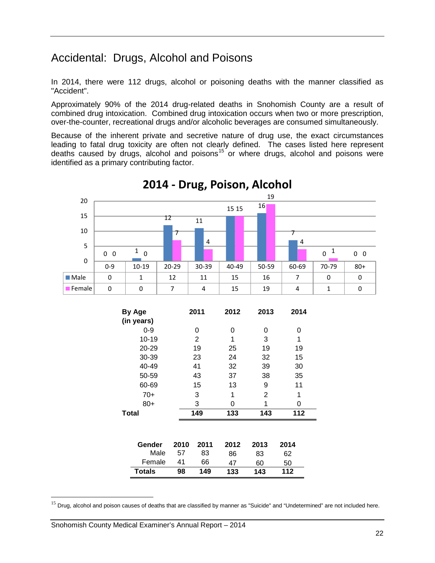# <span id="page-22-0"></span>Accidental: Drugs, Alcohol and Poisons

In 2014, there were 112 drugs, alcohol or poisoning deaths with the manner classified as "Accident".

Approximately 90% of the 2014 drug-related deaths in Snohomish County are a result of combined drug intoxication. Combined drug intoxication occurs when two or more prescription, over-the-counter, recreational drugs and/or alcoholic beverages are consumed simultaneously.

Because of the inherent private and secretive nature of drug use, the exact circumstances leading to fatal drug toxicity are often not clearly defined. The cases listed here represent deaths caused by drugs, alcohol and poisons<sup>[15](#page-22-1)</sup> or where drugs, alcohol and poisons were identified as a primary contributing factor.



**2014 - Drug, Poison, Alcohol**

Male 57 83 86 83 62 Female 41 66 47 60 50 **Totals 98 149 133 143 112**

<span id="page-22-1"></span><sup>&</sup>lt;sup>15</sup> Drug, alcohol and poison causes of deaths that are classified by manner as "Suicide" and "Undetermined" are not included here.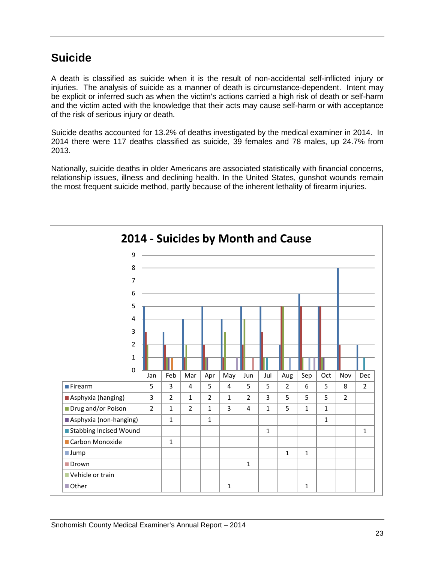# <span id="page-23-0"></span>**Suicide**

A death is classified as suicide when it is the result of non-accidental self-inflicted injury or injuries. The analysis of suicide as a manner of death is circumstance-dependent. Intent may be explicit or inferred such as when the victim's actions carried a high risk of death or self-harm and the victim acted with the knowledge that their acts may cause self-harm or with acceptance of the risk of serious injury or death.

Suicide deaths accounted for 13.2% of deaths investigated by the medical examiner in 2014. In 2014 there were 117 deaths classified as suicide, 39 females and 78 males, up 24.7% from 2013.

Nationally, suicide deaths in older Americans are associated statistically with financial concerns, relationship issues, illness and declining health. In the United States, gunshot wounds remain the most frequent suicide method, partly because of the inherent lethality of firearm injuries.

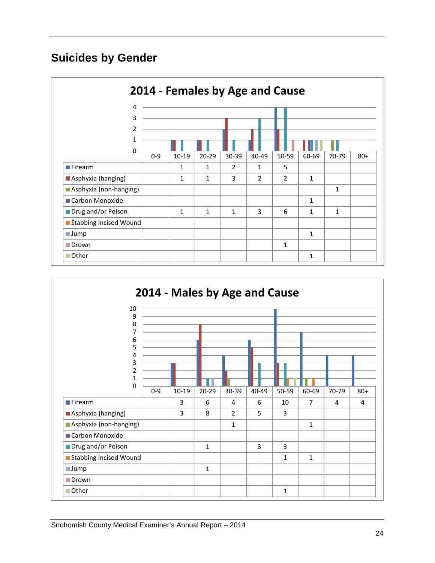# **Suicides by Gender**



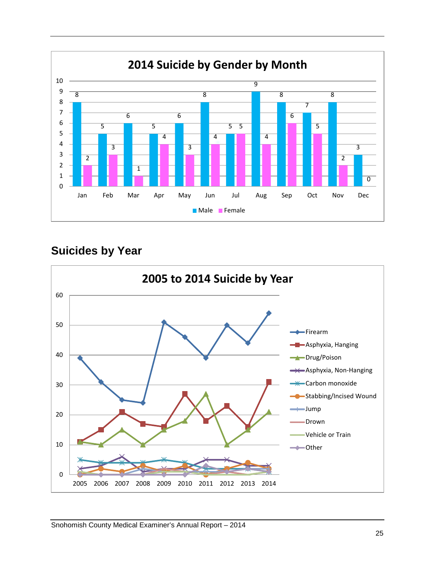

## **Suicides by Year**

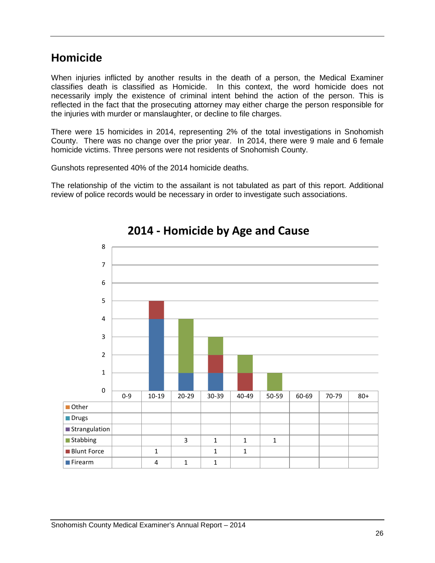## <span id="page-26-0"></span>**Homicide**

When injuries inflicted by another results in the death of a person, the Medical Examiner classifies death is classified as Homicide. In this context, the word homicide does not necessarily imply the existence of criminal intent behind the action of the person. This is reflected in the fact that the prosecuting attorney may either charge the person responsible for the injuries with murder or manslaughter, or decline to file charges.

There were 15 homicides in 2014, representing 2% of the total investigations in Snohomish County. There was no change over the prior year. In 2014, there were 9 male and 6 female homicide victims. Three persons were not residents of Snohomish County.

Gunshots represented 40% of the 2014 homicide deaths.

The relationship of the victim to the assailant is not tabulated as part of this report. Additional review of police records would be necessary in order to investigate such associations.



# **2014 - Homicide by Age and Cause**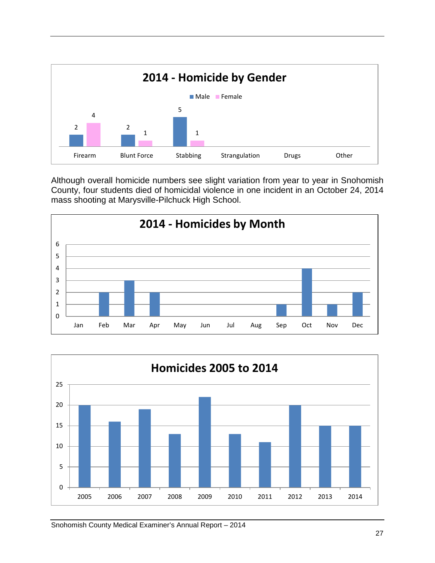

Although overall homicide numbers see slight variation from year to year in Snohomish County, four students died of homicidal violence in one incident in an October 24, 2014 mass shooting at Marysville-Pilchuck High School.